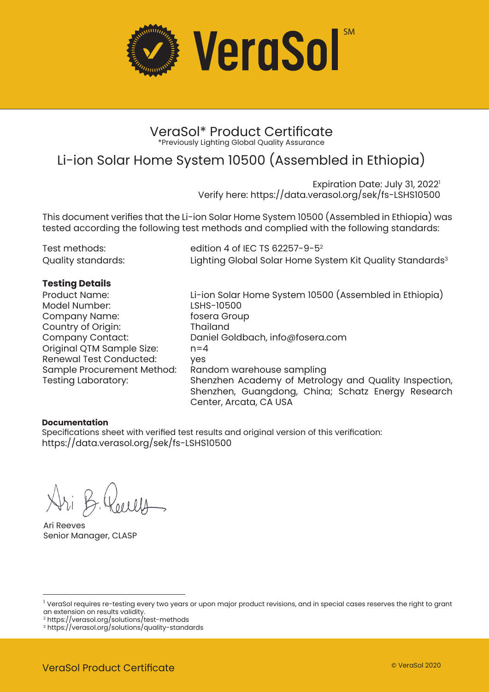

### VeraSol\* Product Certificate \*Previously Lighting Global Quality Assurance

## Li-ion Solar Home System 10500 (Assembled in Ethiopia)

Expiration Date: July 31, 2022<sup>1</sup> Verify here: https://data.verasol.org/sek/fs-LSHS10500

This document verifies that the Li-ion Solar Home System 10500 (Assembled in Ethiopia) was tested according the following test methods and complied with the following standards:

| Test methods:      | edition 4 of IEC TS 62257-9-5 <sup>2</sup>                           |
|--------------------|----------------------------------------------------------------------|
| Quality standards: | Lighting Global Solar Home System Kit Quality Standards <sup>3</sup> |

### **Testing Details**

Model Number: LSHS-10500 Company Name: Country of Origin: Thailand Original QTM Sample Size: Renewal Test Conducted: yes<br>Sample Procurement Method: Random warehouse sampling Sample Procurement Method:

Product Name: Li-ion Solar Home System 10500 (Assembled in Ethiopia) Daniel Goldbach, info@fosera.com<br>n=4 Testing Laboratory: Shenzhen Academy of Metrology and Quality Inspection, Shenzhen, Guangdong, China; Schatz Energy Research Center, Arcata, CA USA

### **Documentation**

Specifications sheet with verified test results and original version of this verification: https://data.verasol.org/sek/fs-LSHS10500

Ari Reeves Senior Manager, CLASP

<sup>&</sup>lt;sup>1</sup> VeraSol requires re-testing every two years or upon major product revisions, and in special cases reserves the right to grant an extension on results validity.

<sup>2</sup> https://verasol.org/solutions/test-methods

<sup>3</sup> https://verasol.org/solutions/quality-standards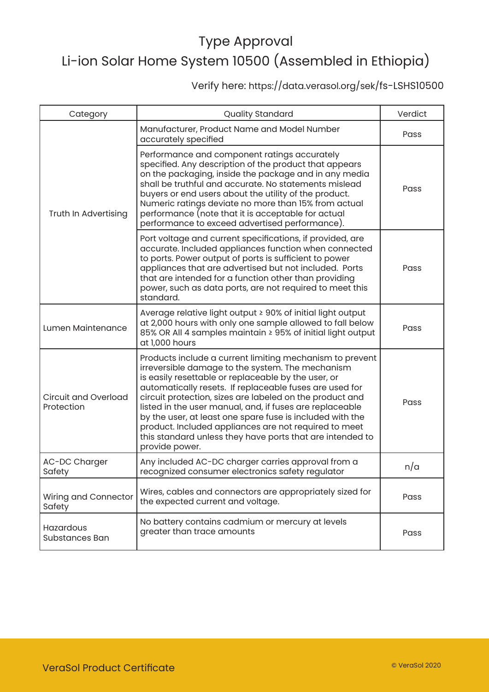### Verify here: https://data.verasol.org/sek/fs-LSHS10500

| Category                                  | <b>Quality Standard</b>                                                                                                                                                                                                                                                                                                                                                                                                                                                                                                                                     | Verdict |
|-------------------------------------------|-------------------------------------------------------------------------------------------------------------------------------------------------------------------------------------------------------------------------------------------------------------------------------------------------------------------------------------------------------------------------------------------------------------------------------------------------------------------------------------------------------------------------------------------------------------|---------|
| Truth In Advertising                      | Manufacturer, Product Name and Model Number<br>accurately specified                                                                                                                                                                                                                                                                                                                                                                                                                                                                                         | Pass    |
|                                           | Performance and component ratings accurately<br>specified. Any description of the product that appears<br>on the packaging, inside the package and in any media<br>shall be truthful and accurate. No statements mislead<br>buyers or end users about the utility of the product.<br>Numeric ratings deviate no more than 15% from actual<br>performance (note that it is acceptable for actual<br>performance to exceed advertised performance).                                                                                                           | Pass    |
|                                           | Port voltage and current specifications, if provided, are<br>accurate. Included appliances function when connected<br>to ports. Power output of ports is sufficient to power<br>appliances that are advertised but not included. Ports<br>that are intended for a function other than providing<br>power, such as data ports, are not required to meet this<br>standard.                                                                                                                                                                                    | Pass    |
| Lumen Maintenance                         | Average relative light output ≥ 90% of initial light output<br>at 2,000 hours with only one sample allowed to fall below<br>85% OR All 4 samples maintain ≥ 95% of initial light output<br>at 1,000 hours                                                                                                                                                                                                                                                                                                                                                   | Pass    |
| <b>Circuit and Overload</b><br>Protection | Products include a current limiting mechanism to prevent<br>irreversible damage to the system. The mechanism<br>is easily resettable or replaceable by the user, or<br>automatically resets. If replaceable fuses are used for<br>circuit protection, sizes are labeled on the product and<br>listed in the user manual, and, if fuses are replaceable<br>by the user, at least one spare fuse is included with the<br>product. Included appliances are not required to meet<br>this standard unless they have ports that are intended to<br>provide power. | Pass    |
| AC-DC Charger<br>Safety                   | Any included AC-DC charger carries approval from a<br>recognized consumer electronics safety regulator                                                                                                                                                                                                                                                                                                                                                                                                                                                      | n/a     |
| Wiring and Connector<br>Safety            | Wires, cables and connectors are appropriately sized for<br>the expected current and voltage.                                                                                                                                                                                                                                                                                                                                                                                                                                                               | Pass    |
| Hazardous<br>Substances Ban               | No battery contains cadmium or mercury at levels<br>greater than trace amounts                                                                                                                                                                                                                                                                                                                                                                                                                                                                              | Pass    |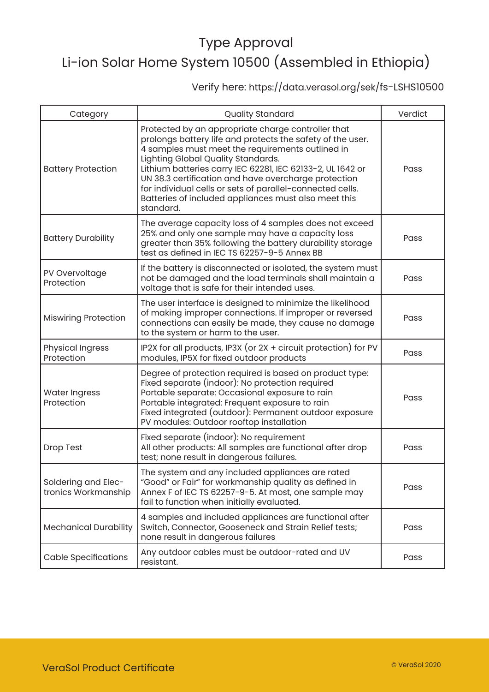### Verify here: https://data.verasol.org/sek/fs-LSHS10500

| Category                                   | <b>Quality Standard</b>                                                                                                                                                                                                                                                                                                                                                                                                                                            | Verdict |
|--------------------------------------------|--------------------------------------------------------------------------------------------------------------------------------------------------------------------------------------------------------------------------------------------------------------------------------------------------------------------------------------------------------------------------------------------------------------------------------------------------------------------|---------|
| <b>Battery Protection</b>                  | Protected by an appropriate charge controller that<br>prolongs battery life and protects the safety of the user.<br>4 samples must meet the requirements outlined in<br>Lighting Global Quality Standards.<br>Lithium batteries carry IEC 62281, IEC 62133-2, UL 1642 or<br>UN 38.3 certification and have overcharge protection<br>for individual cells or sets of parallel-connected cells.<br>Batteries of included appliances must also meet this<br>standard. | Pass    |
| <b>Battery Durability</b>                  | The average capacity loss of 4 samples does not exceed<br>25% and only one sample may have a capacity loss<br>greater than 35% following the battery durability storage<br>test as defined in IEC TS 62257-9-5 Annex BB                                                                                                                                                                                                                                            | Pass    |
| PV Overvoltage<br>Protection               | If the battery is disconnected or isolated, the system must<br>not be damaged and the load terminals shall maintain a<br>voltage that is safe for their intended uses.                                                                                                                                                                                                                                                                                             | Pass    |
| <b>Miswiring Protection</b>                | The user interface is designed to minimize the likelihood<br>of making improper connections. If improper or reversed<br>connections can easily be made, they cause no damage<br>to the system or harm to the user.                                                                                                                                                                                                                                                 | Pass    |
| <b>Physical Ingress</b><br>Protection      | IP2X for all products, IP3X (or 2X + circuit protection) for PV<br>modules, IP5X for fixed outdoor products                                                                                                                                                                                                                                                                                                                                                        | Pass    |
| <b>Water Ingress</b><br>Protection         | Degree of protection required is based on product type:<br>Fixed separate (indoor): No protection required<br>Portable separate: Occasional exposure to rain<br>Portable integrated: Frequent exposure to rain<br>Fixed integrated (outdoor): Permanent outdoor exposure<br>PV modules: Outdoor rooftop installation                                                                                                                                               | Pass    |
| Drop Test                                  | Fixed separate (indoor): No requirement<br>All other products: All samples are functional after drop<br>test; none result in dangerous failures.                                                                                                                                                                                                                                                                                                                   | Pass    |
| Soldering and Elec-<br>tronics Workmanship | The system and any included appliances are rated<br>"Good" or Fair" for workmanship quality as defined in<br>Annex F of IEC TS 62257-9-5. At most, one sample may<br>fail to function when initially evaluated.                                                                                                                                                                                                                                                    | Pass    |
| <b>Mechanical Durability</b>               | 4 samples and included appliances are functional after<br>Switch, Connector, Gooseneck and Strain Relief tests;<br>none result in dangerous failures                                                                                                                                                                                                                                                                                                               | Pass    |
| <b>Cable Specifications</b>                | Any outdoor cables must be outdoor-rated and UV<br>resistant.                                                                                                                                                                                                                                                                                                                                                                                                      | Pass    |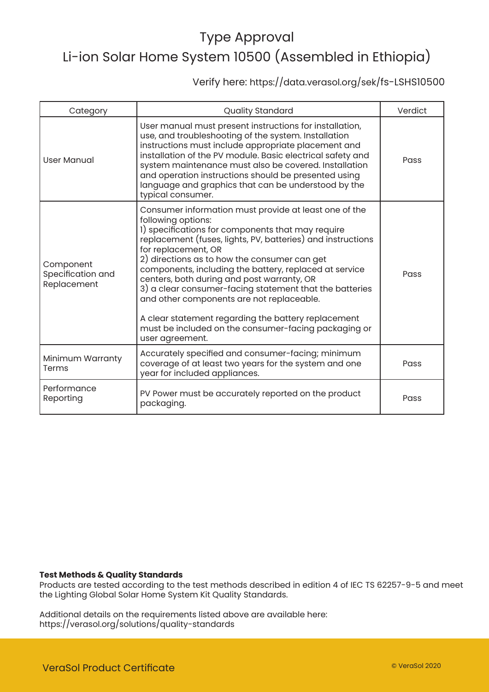### Verify here: https://data.verasol.org/sek/fs-LSHS10500

| Category                                      | Quality Standard                                                                                                                                                                                                                                                                                                                                                                                                                                                                                                                                                                                                         | Verdict |
|-----------------------------------------------|--------------------------------------------------------------------------------------------------------------------------------------------------------------------------------------------------------------------------------------------------------------------------------------------------------------------------------------------------------------------------------------------------------------------------------------------------------------------------------------------------------------------------------------------------------------------------------------------------------------------------|---------|
| <b>User Manual</b>                            | User manual must present instructions for installation,<br>use, and troubleshooting of the system. Installation<br>instructions must include appropriate placement and<br>installation of the PV module. Basic electrical safety and<br>system maintenance must also be covered. Installation<br>and operation instructions should be presented using<br>language and graphics that can be understood by the<br>typical consumer.                                                                                                                                                                                        | Pass    |
| Component<br>Specification and<br>Replacement | Consumer information must provide at least one of the<br>following options:<br>1) specifications for components that may require<br>replacement (fuses, lights, PV, batteries) and instructions<br>for replacement, OR<br>2) directions as to how the consumer can get<br>components, including the battery, replaced at service<br>centers, both during and post warranty, OR<br>3) a clear consumer-facing statement that the batteries<br>and other components are not replaceable.<br>A clear statement regarding the battery replacement<br>must be included on the consumer-facing packaging or<br>user agreement. | Pass    |
| Minimum Warranty<br>Terms                     | Accurately specified and consumer-facing; minimum<br>coverage of at least two years for the system and one<br>year for included appliances.                                                                                                                                                                                                                                                                                                                                                                                                                                                                              | Pass    |
| Performance<br>Reporting                      | PV Power must be accurately reported on the product<br>packaging.                                                                                                                                                                                                                                                                                                                                                                                                                                                                                                                                                        | Pass    |

### **Test Methods & Quality Standards**

Products are tested according to the test methods described in edition 4 of IEC TS 62257-9-5 and meet the Lighting Global Solar Home System Kit Quality Standards.

Additional details on the requirements listed above are available here: https://verasol.org/solutions/quality-standards